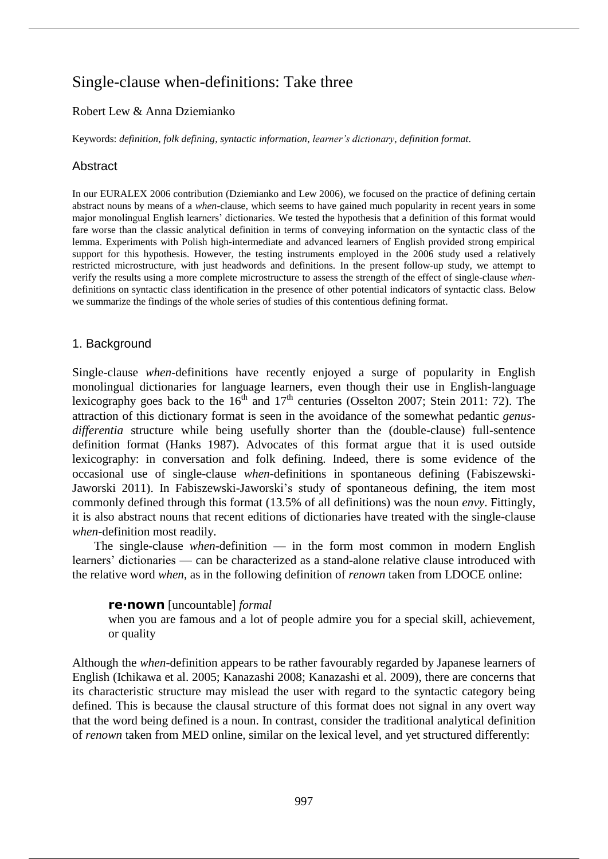# Single-clause when-definitions: Take three

# Robert Lew & Anna Dziemianko

Keywords: *definition*, *folk defining*, *syntactic information*, *learner's dictionary*, *definition format*.

# **Abstract**

In our EURALEX 2006 contribution (Dziemianko and Lew 2006), we focused on the practice of defining certain abstract nouns by means of a *when*-clause, which seems to have gained much popularity in recent years in some major monolingual English learners' dictionaries. We tested the hypothesis that a definition of this format would fare worse than the classic analytical definition in terms of conveying information on the syntactic class of the lemma. Experiments with Polish high-intermediate and advanced learners of English provided strong empirical support for this hypothesis. However, the testing instruments employed in the 2006 study used a relatively restricted microstructure, with just headwords and definitions. In the present follow-up study, we attempt to verify the results using a more complete microstructure to assess the strength of the effect of single-clause *when*definitions on syntactic class identification in the presence of other potential indicators of syntactic class. Below we summarize the findings of the whole series of studies of this contentious defining format.

# 1. Background

Single-clause *when*-definitions have recently enjoyed a surge of popularity in English monolingual dictionaries for language learners, even though their use in English-language lexicography goes back to the  $16<sup>th</sup>$  and  $17<sup>th</sup>$  centuries (Osselton 2007; Stein 2011: 72). The attraction of this dictionary format is seen in the avoidance of the somewhat pedantic *genusdifferentia* structure while being usefully shorter than the (double-clause) full-sentence definition format (Hanks 1987). Advocates of this format argue that it is used outside lexicography: in conversation and folk defining. Indeed, there is some evidence of the occasional use of single-clause *when*-definitions in spontaneous defining (Fabiszewski-Jaworski 2011). In Fabiszewski-Jaworski's study of spontaneous defining, the item most commonly defined through this format (13.5% of all definitions) was the noun *envy*. Fittingly, it is also abstract nouns that recent editions of dictionaries have treated with the single-clause *when*-definition most readily.

The single-clause *when*-definition — in the form most common in modern English learners' dictionaries — can be characterized as a stand-alone relative clause introduced with the relative word *when*, as in the following definition of *renown* taken from LDOCE online:

### **re∙nown** [uncountable] *formal*

when you are famous and a lot of people admire you for a special skill, achievement, or quality

Although the *when*-definition appears to be rather favourably regarded by Japanese learners of English (Ichikawa et al. 2005; Kanazashi 2008; Kanazashi et al. 2009), there are concerns that its characteristic structure may mislead the user with regard to the syntactic category being defined. This is because the clausal structure of this format does not signal in any overt way that the word being defined is a noun. In contrast, consider the traditional analytical definition of *renown* taken from MED online, similar on the lexical level, and yet structured differently: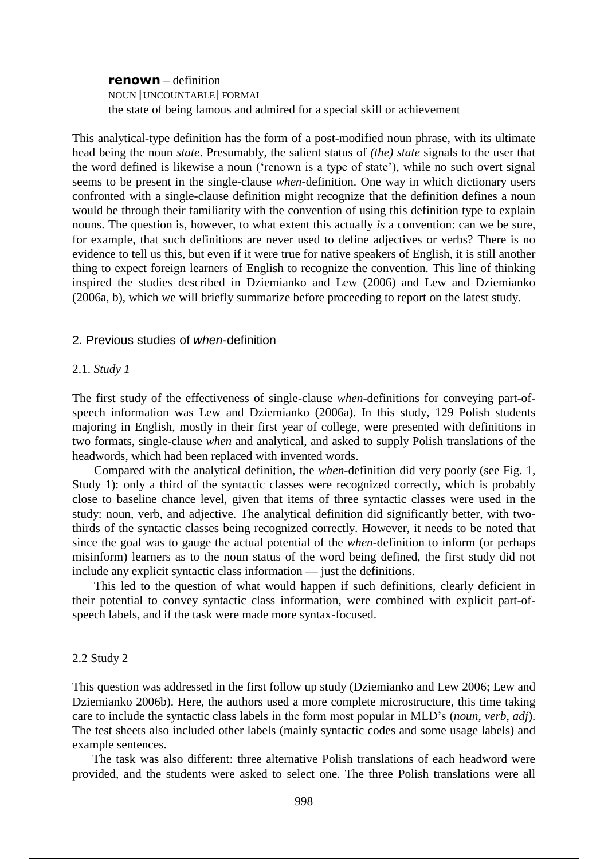**renown** – definition NOUN [UNCOUNTABLE] FORMAL the state of being famous and admired for a special skill or achievement

This analytical-type definition has the form of a post-modified noun phrase, with its ultimate head being the noun *state*. Presumably, the salient status of *(the) state* signals to the user that the word defined is likewise a noun ('renown is a type of state'), while no such overt signal seems to be present in the single-clause *when*-definition. One way in which dictionary users confronted with a single-clause definition might recognize that the definition defines a noun would be through their familiarity with the convention of using this definition type to explain nouns. The question is, however, to what extent this actually *is* a convention: can we be sure, for example, that such definitions are never used to define adjectives or verbs? There is no evidence to tell us this, but even if it were true for native speakers of English, it is still another thing to expect foreign learners of English to recognize the convention. This line of thinking inspired the studies described in Dziemianko and Lew (2006) and Lew and Dziemianko (2006a, b), which we will briefly summarize before proceeding to report on the latest study.

# 2. Previous studies of *when*-definition

#### 2.1. *Study 1*

The first study of the effectiveness of single-clause *when*-definitions for conveying part-ofspeech information was Lew and Dziemianko (2006a). In this study, 129 Polish students majoring in English, mostly in their first year of college, were presented with definitions in two formats, single-clause *when* and analytical, and asked to supply Polish translations of the headwords, which had been replaced with invented words.

Compared with the analytical definition, the *when*-definition did very poorly (see Fig. 1, Study 1): only a third of the syntactic classes were recognized correctly, which is probably close to baseline chance level, given that items of three syntactic classes were used in the study: noun, verb, and adjective. The analytical definition did significantly better, with twothirds of the syntactic classes being recognized correctly. However, it needs to be noted that since the goal was to gauge the actual potential of the *when*-definition to inform (or perhaps misinform) learners as to the noun status of the word being defined, the first study did not include any explicit syntactic class information — just the definitions.

This led to the question of what would happen if such definitions, clearly deficient in their potential to convey syntactic class information, were combined with explicit part-ofspeech labels, and if the task were made more syntax-focused.

#### 2.2 Study 2

This question was addressed in the first follow up study (Dziemianko and Lew 2006; Lew and Dziemianko 2006b). Here, the authors used a more complete microstructure, this time taking care to include the syntactic class labels in the form most popular in MLD's (*noun*, *verb*, *adj*). The test sheets also included other labels (mainly syntactic codes and some usage labels) and example sentences.

The task was also different: three alternative Polish translations of each headword were provided, and the students were asked to select one. The three Polish translations were all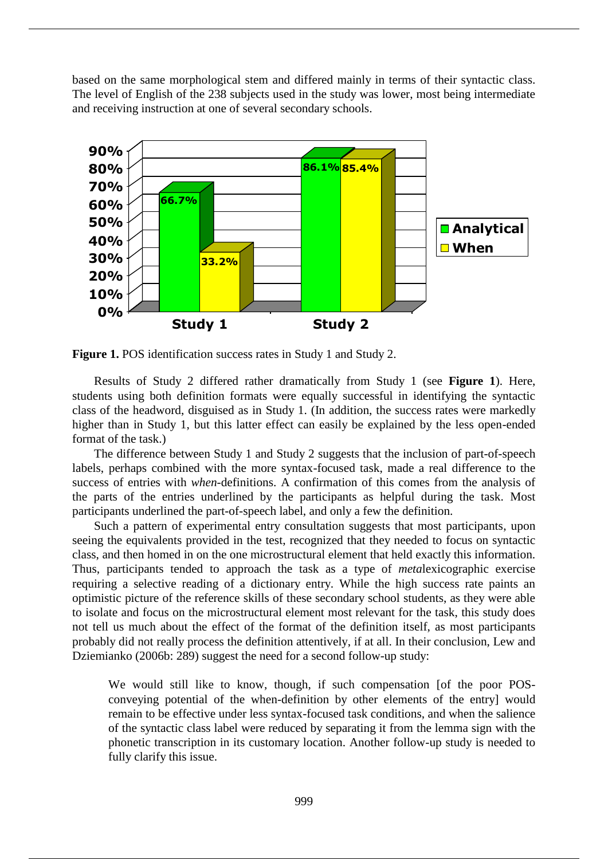based on the same morphological stem and differed mainly in terms of their syntactic class. The level of English of the 238 subjects used in the study was lower, most being intermediate and receiving instruction at one of several secondary schools.



**Figure 1.** POS identification success rates in Study 1 and Study 2.

Results of Study 2 differed rather dramatically from Study 1 (see **Figure 1**). Here, students using both definition formats were equally successful in identifying the syntactic class of the headword, disguised as in Study 1. (In addition, the success rates were markedly higher than in Study 1, but this latter effect can easily be explained by the less open-ended format of the task.)

The difference between Study 1 and Study 2 suggests that the inclusion of part-of-speech labels, perhaps combined with the more syntax-focused task, made a real difference to the success of entries with *when*-definitions. A confirmation of this comes from the analysis of the parts of the entries underlined by the participants as helpful during the task. Most participants underlined the part-of-speech label, and only a few the definition.

Such a pattern of experimental entry consultation suggests that most participants, upon seeing the equivalents provided in the test, recognized that they needed to focus on syntactic class, and then homed in on the one microstructural element that held exactly this information. Thus, participants tended to approach the task as a type of *meta*lexicographic exercise requiring a selective reading of a dictionary entry. While the high success rate paints an optimistic picture of the reference skills of these secondary school students, as they were able to isolate and focus on the microstructural element most relevant for the task, this study does not tell us much about the effect of the format of the definition itself, as most participants probably did not really process the definition attentively, if at all. In their conclusion, Lew and Dziemianko (2006b: 289) suggest the need for a second follow-up study:

We would still like to know, though, if such compensation [of the poor POSconveying potential of the when-definition by other elements of the entry] would remain to be effective under less syntax-focused task conditions, and when the salience of the syntactic class label were reduced by separating it from the lemma sign with the phonetic transcription in its customary location. Another follow-up study is needed to fully clarify this issue.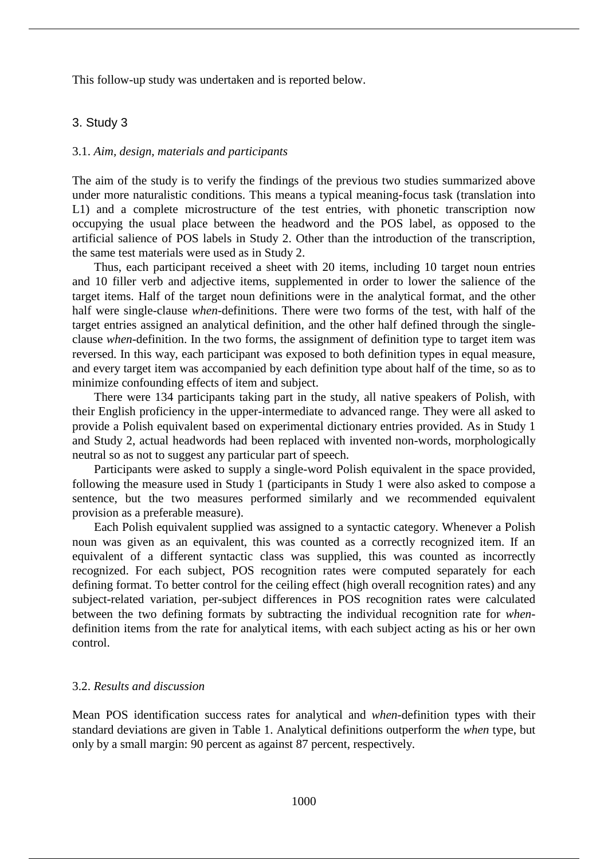This follow-up study was undertaken and is reported below.

### 3. Study 3

### 3.1. *Aim, design, materials and participants*

The aim of the study is to verify the findings of the previous two studies summarized above under more naturalistic conditions. This means a typical meaning-focus task (translation into L1) and a complete microstructure of the test entries, with phonetic transcription now occupying the usual place between the headword and the POS label, as opposed to the artificial salience of POS labels in Study 2. Other than the introduction of the transcription, the same test materials were used as in Study 2.

Thus, each participant received a sheet with 20 items, including 10 target noun entries and 10 filler verb and adjective items, supplemented in order to lower the salience of the target items. Half of the target noun definitions were in the analytical format, and the other half were single-clause *when*-definitions. There were two forms of the test, with half of the target entries assigned an analytical definition, and the other half defined through the singleclause *when*-definition. In the two forms, the assignment of definition type to target item was reversed. In this way, each participant was exposed to both definition types in equal measure, and every target item was accompanied by each definition type about half of the time, so as to minimize confounding effects of item and subject.

There were 134 participants taking part in the study, all native speakers of Polish, with their English proficiency in the upper-intermediate to advanced range. They were all asked to provide a Polish equivalent based on experimental dictionary entries provided. As in Study 1 and Study 2, actual headwords had been replaced with invented non-words, morphologically neutral so as not to suggest any particular part of speech.

Participants were asked to supply a single-word Polish equivalent in the space provided, following the measure used in Study 1 (participants in Study 1 were also asked to compose a sentence, but the two measures performed similarly and we recommended equivalent provision as a preferable measure).

Each Polish equivalent supplied was assigned to a syntactic category. Whenever a Polish noun was given as an equivalent, this was counted as a correctly recognized item. If an equivalent of a different syntactic class was supplied, this was counted as incorrectly recognized. For each subject, POS recognition rates were computed separately for each defining format. To better control for the ceiling effect (high overall recognition rates) and any subject-related variation, per-subject differences in POS recognition rates were calculated between the two defining formats by subtracting the individual recognition rate for *when*definition items from the rate for analytical items, with each subject acting as his or her own control.

# 3.2. *Results and discussion*

Mean POS identification success rates for analytical and *when*-definition types with their standard deviations are given in Table 1. Analytical definitions outperform the *when* type, but only by a small margin: 90 percent as against 87 percent, respectively.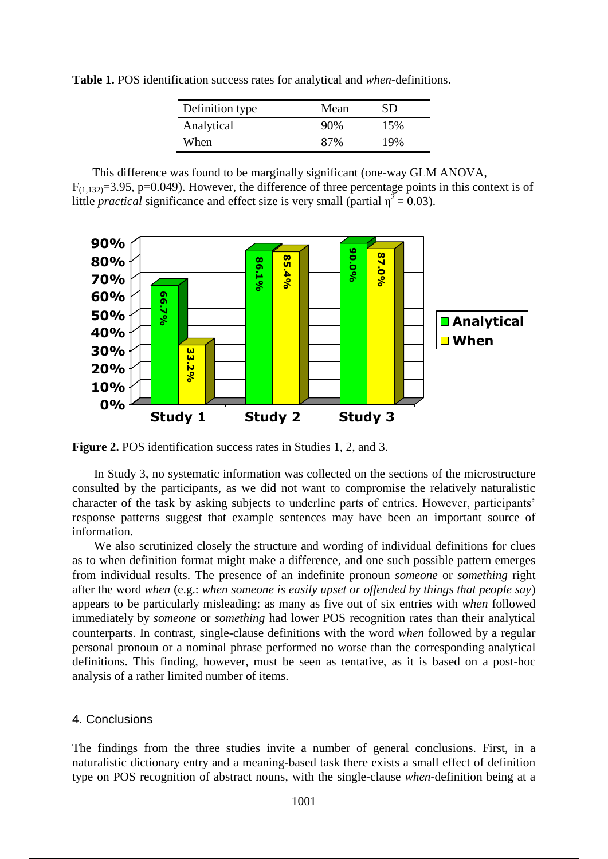**Table 1.** POS identification success rates for analytical and *when*-definitions.

| Definition type | Mean   | SD. |
|-----------------|--------|-----|
| Analytical      | $90\%$ | 15% |
| When            | 87%    | 19% |

This difference was found to be marginally significant (one-way GLM ANOVA,  $F_{(1,132)}=3.95$ , p=0.049). However, the difference of three percentage points in this context is of little *practical* significance and effect size is very small (partial  $\eta^2 = 0.03$ ).



**Figure 2.** POS identification success rates in Studies 1, 2, and 3.

In Study 3, no systematic information was collected on the sections of the microstructure consulted by the participants, as we did not want to compromise the relatively naturalistic character of the task by asking subjects to underline parts of entries. However, participants' response patterns suggest that example sentences may have been an important source of information.

We also scrutinized closely the structure and wording of individual definitions for clues as to when definition format might make a difference, and one such possible pattern emerges from individual results. The presence of an indefinite pronoun *someone* or *something* right after the word *when* (e.g.: *when someone is easily upset or offended by things that people say*) appears to be particularly misleading: as many as five out of six entries with *when* followed immediately by *someone* or *something* had lower POS recognition rates than their analytical counterparts. In contrast, single-clause definitions with the word *when* followed by a regular personal pronoun or a nominal phrase performed no worse than the corresponding analytical definitions. This finding, however, must be seen as tentative, as it is based on a post-hoc analysis of a rather limited number of items.

### 4. Conclusions

The findings from the three studies invite a number of general conclusions. First, in a naturalistic dictionary entry and a meaning-based task there exists a small effect of definition type on POS recognition of abstract nouns, with the single-clause *when*-definition being at a